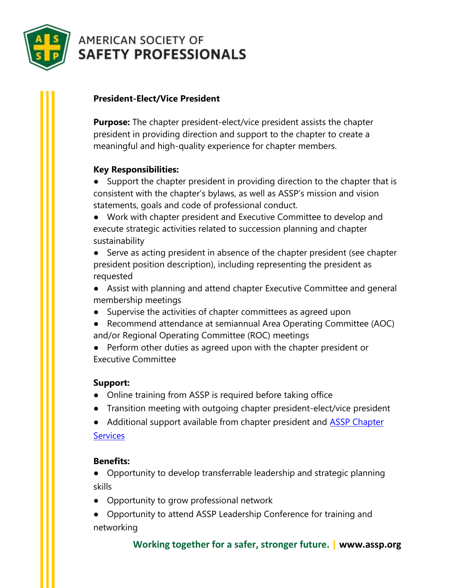

# **AMERICAN SOCIETY OF SAFETY PROFESSIONALS**

## **President-Elect/Vice President**

**Purpose:** The chapter president-elect/vice president assists the chapter president in providing direction and support to the chapter to create a meaningful and high-quality experience for chapter members.

## **Key Responsibilities:**

● Support the chapter president in providing direction to the chapter that is consistent with the chapter's bylaws, as well as ASSP's mission and vision statements, goals and code of professional conduct.

● Work with chapter president and Executive Committee to develop and execute strategic activities related to succession planning and chapter sustainability

● Serve as acting president in absence of the chapter president (see chapter president position description), including representing the president as requested

- Assist with planning and attend chapter Executive Committee and general membership meetings
- Supervise the activities of chapter committees as agreed upon
- Recommend attendance at semiannual Area Operating Committee (AOC) and/or Regional Operating Committee (ROC) meetings
- Perform other duties as agreed upon with the chapter president or Executive Committee

## **Support:**

- Online training from ASSP is required before taking office
- Transition meeting with outgoing chapter president-elect/vice president
- Additional support available from chapter president and **ASSP Chapter [Services](mailto:chapterservices@assp.org)**

#### **Benefits:**

● Opportunity to develop transferrable leadership and strategic planning skills

- Opportunity to grow professional network
- Opportunity to attend ASSP Leadership Conference for training and networking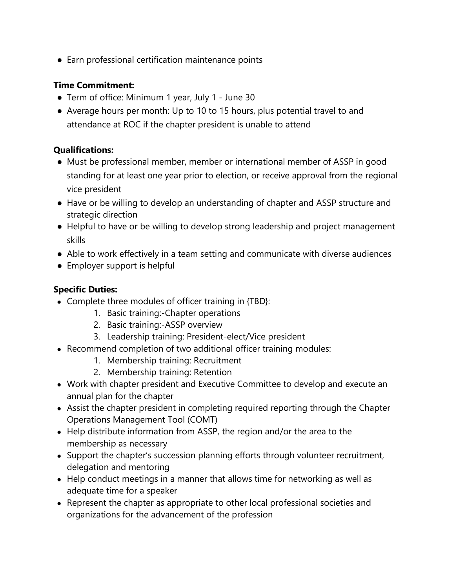● Earn professional certification maintenance points

#### **Time Commitment:**

- Term of office: Minimum 1 year, July 1 June 30
- Average hours per month: Up to 10 to 15 hours, plus potential travel to and attendance at ROC if the chapter president is unable to attend

#### **Qualifications:**

- Must be professional member, member or international member of ASSP in good standing for at least one year prior to election, or receive approval from the regional vice president
- Have or be willing to develop an understanding of chapter and ASSP structure and strategic direction
- Helpful to have or be willing to develop strong leadership and project management skills
- Able to work effectively in a team setting and communicate with diverse audiences
- Employer support is helpful

#### **Specific Duties:**

- Complete three modules of officer training in {TBD}:
	- 1. Basic training:-Chapter operations
	- 2. Basic training:-ASSP overview
	- 3. Leadership training: President-elect/Vice president
- Recommend completion of two additional officer training modules:
	- 1. Membership training: Recruitment
	- 2. Membership training: Retention
- Work with chapter president and Executive Committee to develop and execute an annual plan for the chapter
- Assist the chapter president in completing required reporting through the Chapter Operations Management Tool (COMT)
- Help distribute information from ASSP, the region and/or the area to the membership as necessary
- Support the chapter's succession planning efforts through volunteer recruitment, delegation and mentoring
- Help conduct meetings in a manner that allows time for networking as well as adequate time for a speaker
- Represent the chapter as appropriate to other local professional societies and organizations for the advancement of the profession